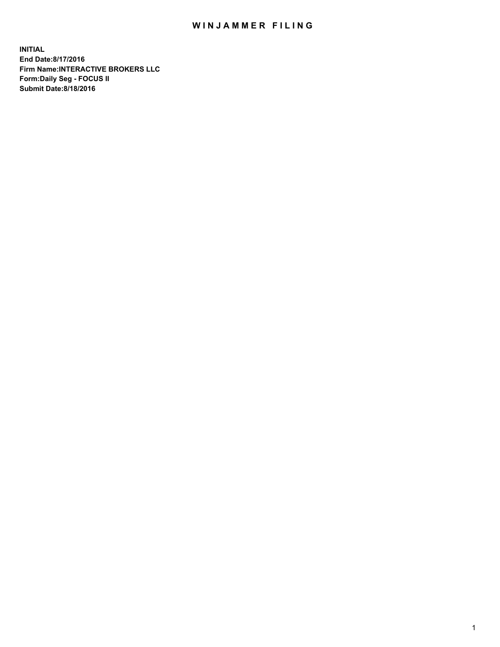## WIN JAMMER FILING

**INITIAL End Date:8/17/2016 Firm Name:INTERACTIVE BROKERS LLC Form:Daily Seg - FOCUS II Submit Date:8/18/2016**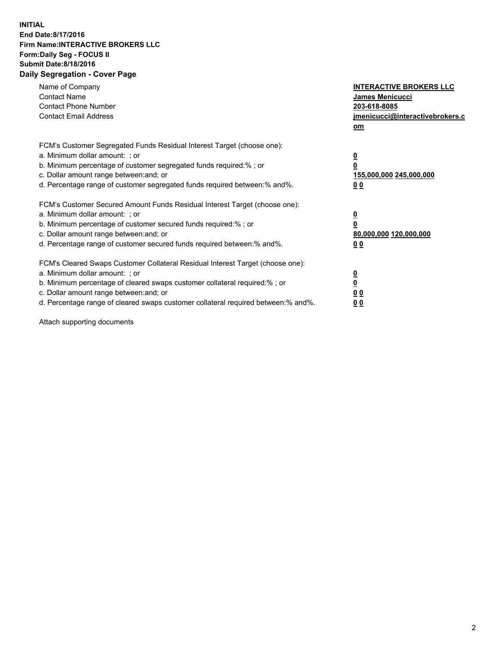## **INITIAL End Date:8/17/2016 Firm Name:INTERACTIVE BROKERS LLC Form:Daily Seg - FOCUS II Submit Date:8/18/2016 Daily Segregation - Cover Page**

| Name of Company<br><b>Contact Name</b><br><b>Contact Phone Number</b><br><b>Contact Email Address</b>                                                                                                                                                                                                                          | <b>INTERACTIVE BROKERS LLC</b><br>James Menicucci<br>203-618-8085<br>jmenicucci@interactivebrokers.c<br>om |
|--------------------------------------------------------------------------------------------------------------------------------------------------------------------------------------------------------------------------------------------------------------------------------------------------------------------------------|------------------------------------------------------------------------------------------------------------|
| FCM's Customer Segregated Funds Residual Interest Target (choose one):<br>a. Minimum dollar amount: ; or<br>b. Minimum percentage of customer segregated funds required:%; or<br>c. Dollar amount range between: and; or<br>d. Percentage range of customer segregated funds required between:% and%.                          | $\overline{\mathbf{0}}$<br>0<br>155,000,000 245,000,000<br>0 <sub>0</sub>                                  |
| FCM's Customer Secured Amount Funds Residual Interest Target (choose one):<br>a. Minimum dollar amount: ; or<br>b. Minimum percentage of customer secured funds required:%; or<br>c. Dollar amount range between: and; or<br>d. Percentage range of customer secured funds required between:% and%.                            | $\overline{\mathbf{0}}$<br>$\overline{\mathbf{0}}$<br>80,000,000 120,000,000<br>00                         |
| FCM's Cleared Swaps Customer Collateral Residual Interest Target (choose one):<br>a. Minimum dollar amount: ; or<br>b. Minimum percentage of cleared swaps customer collateral required:% ; or<br>c. Dollar amount range between: and; or<br>d. Percentage range of cleared swaps customer collateral required between:% and%. | $\overline{\mathbf{0}}$<br>$\overline{\mathbf{0}}$<br>0 <sub>0</sub><br><u>00</u>                          |

Attach supporting documents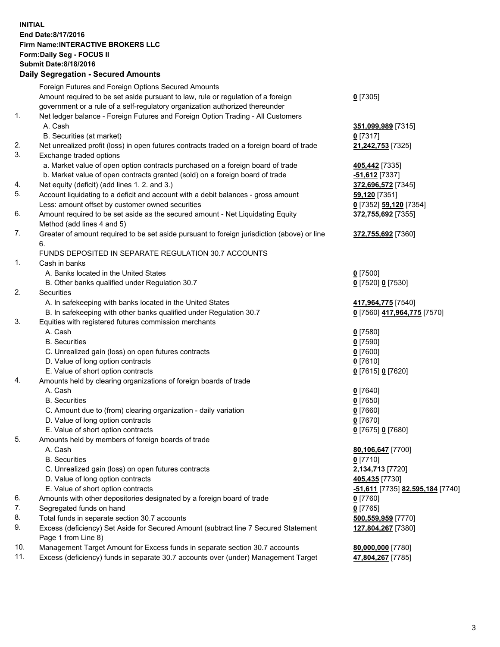## **INITIAL End Date:8/17/2016 Firm Name:INTERACTIVE BROKERS LLC Form:Daily Seg - FOCUS II Submit Date:8/18/2016 Daily Segregation - Secured Amounts**

|     | Daily Jegregation - Jeculed Aniounts                                                                       |                                  |
|-----|------------------------------------------------------------------------------------------------------------|----------------------------------|
|     | Foreign Futures and Foreign Options Secured Amounts                                                        |                                  |
|     | Amount required to be set aside pursuant to law, rule or regulation of a foreign                           | $0$ [7305]                       |
|     | government or a rule of a self-regulatory organization authorized thereunder                               |                                  |
| 1.  | Net ledger balance - Foreign Futures and Foreign Option Trading - All Customers                            |                                  |
|     | A. Cash                                                                                                    | 351,099,989 [7315]               |
|     | B. Securities (at market)                                                                                  | $0$ [7317]                       |
| 2.  | Net unrealized profit (loss) in open futures contracts traded on a foreign board of trade                  | 21,242,753 [7325]                |
| 3.  | Exchange traded options                                                                                    |                                  |
|     | a. Market value of open option contracts purchased on a foreign board of trade                             | 405,442 [7335]                   |
|     | b. Market value of open contracts granted (sold) on a foreign board of trade                               | $-51,612$ [7337]                 |
| 4.  | Net equity (deficit) (add lines 1.2. and 3.)                                                               | 372,696,572 [7345]               |
| 5.  | Account liquidating to a deficit and account with a debit balances - gross amount                          | 59,120 [7351]                    |
|     | Less: amount offset by customer owned securities                                                           | 0 [7352] 59,120 [7354]           |
| 6.  | Amount required to be set aside as the secured amount - Net Liquidating Equity                             | 372,755,692 [7355]               |
|     | Method (add lines 4 and 5)                                                                                 |                                  |
| 7.  | Greater of amount required to be set aside pursuant to foreign jurisdiction (above) or line                | 372,755,692 [7360]               |
|     | 6.                                                                                                         |                                  |
|     | FUNDS DEPOSITED IN SEPARATE REGULATION 30.7 ACCOUNTS                                                       |                                  |
| 1.  | Cash in banks                                                                                              |                                  |
|     | A. Banks located in the United States                                                                      | $0$ [7500]                       |
|     | B. Other banks qualified under Regulation 30.7                                                             | 0 [7520] 0 [7530]                |
| 2.  | Securities                                                                                                 |                                  |
|     | A. In safekeeping with banks located in the United States                                                  | 417,964,775 [7540]               |
|     | B. In safekeeping with other banks qualified under Regulation 30.7                                         | 0 [7560] 417,964,775 [7570]      |
| 3.  | Equities with registered futures commission merchants                                                      |                                  |
|     | A. Cash                                                                                                    | $0$ [7580]                       |
|     | <b>B.</b> Securities                                                                                       | $0$ [7590]                       |
|     | C. Unrealized gain (loss) on open futures contracts                                                        | $0$ [7600]                       |
|     | D. Value of long option contracts                                                                          | $0$ [7610]                       |
|     | E. Value of short option contracts                                                                         | 0 [7615] 0 [7620]                |
| 4.  | Amounts held by clearing organizations of foreign boards of trade                                          |                                  |
|     | A. Cash                                                                                                    | $0$ [7640]                       |
|     | <b>B.</b> Securities                                                                                       | $0$ [7650]                       |
|     | C. Amount due to (from) clearing organization - daily variation                                            | $0$ [7660]                       |
|     | D. Value of long option contracts                                                                          | $0$ [7670]                       |
|     | E. Value of short option contracts                                                                         | 0 [7675] 0 [7680]                |
| 5.  | Amounts held by members of foreign boards of trade                                                         |                                  |
|     | A. Cash                                                                                                    | 80,106,647 [7700]                |
|     | <b>B.</b> Securities                                                                                       | $0$ [7710]                       |
|     | C. Unrealized gain (loss) on open futures contracts                                                        | 2,134,713 [7720]                 |
|     | D. Value of long option contracts                                                                          | 405,435 [7730]                   |
|     | E. Value of short option contracts                                                                         | -51,611 [7735] 82,595,184 [7740] |
| 6.  | Amounts with other depositories designated by a foreign board of trade                                     | 0 [7760]                         |
| 7.  | Segregated funds on hand                                                                                   | $0$ [7765]                       |
| 8.  | Total funds in separate section 30.7 accounts                                                              | 500,559,959 [7770]               |
| 9.  | Excess (deficiency) Set Aside for Secured Amount (subtract line 7 Secured Statement<br>Page 1 from Line 8) | 127,804,267 [7380]               |
| 10. | Management Target Amount for Excess funds in separate section 30.7 accounts                                | 80,000,000 [7780]                |
| 11. | Excess (deficiency) funds in separate 30.7 accounts over (under) Management Target                         | 47,804,267 [7785]                |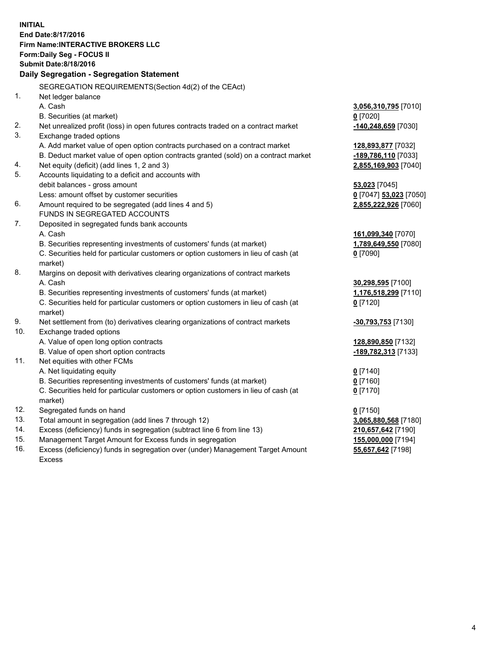**INITIAL End Date:8/17/2016 Firm Name:INTERACTIVE BROKERS LLC Form:Daily Seg - FOCUS II Submit Date:8/18/2016 Daily Segregation - Segregation Statement** SEGREGATION REQUIREMENTS(Section 4d(2) of the CEAct) 1. Net ledger balance A. Cash **3,056,310,795** [7010] B. Securities (at market) **0** [7020] 2. Net unrealized profit (loss) in open futures contracts traded on a contract market **-140,248,659** [7030] 3. Exchange traded options A. Add market value of open option contracts purchased on a contract market **128,893,877** [7032] B. Deduct market value of open option contracts granted (sold) on a contract market **-189,786,110** [7033] 4. Net equity (deficit) (add lines 1, 2 and 3) **2,855,169,903** [7040] 5. Accounts liquidating to a deficit and accounts with debit balances - gross amount **53,023** [7045] Less: amount offset by customer securities **0** [7047] **53,023** [7050] 6. Amount required to be segregated (add lines 4 and 5) **2,855,222,926** [7060] FUNDS IN SEGREGATED ACCOUNTS 7. Deposited in segregated funds bank accounts A. Cash **161,099,340** [7070] B. Securities representing investments of customers' funds (at market) **1,789,649,550** [7080] C. Securities held for particular customers or option customers in lieu of cash (at market) **0** [7090] 8. Margins on deposit with derivatives clearing organizations of contract markets A. Cash **30,298,595** [7100] B. Securities representing investments of customers' funds (at market) **1,176,518,299** [7110] C. Securities held for particular customers or option customers in lieu of cash (at market) **0** [7120] 9. Net settlement from (to) derivatives clearing organizations of contract markets **-30,793,753** [7130] 10. Exchange traded options A. Value of open long option contracts **128,890,850** [7132] B. Value of open short option contracts **-189,782,313** [7133] 11. Net equities with other FCMs A. Net liquidating equity **0** [7140] B. Securities representing investments of customers' funds (at market) **0** [7160] C. Securities held for particular customers or option customers in lieu of cash (at market) **0** [7170] 12. Segregated funds on hand **0** [7150] 13. Total amount in segregation (add lines 7 through 12) **3,065,880,568** [7180] 14. Excess (deficiency) funds in segregation (subtract line 6 from line 13) **210,657,642** [7190] 15. Management Target Amount for Excess funds in segregation **155,000,000** [7194] **55,657,642** [7198]

16. Excess (deficiency) funds in segregation over (under) Management Target Amount Excess